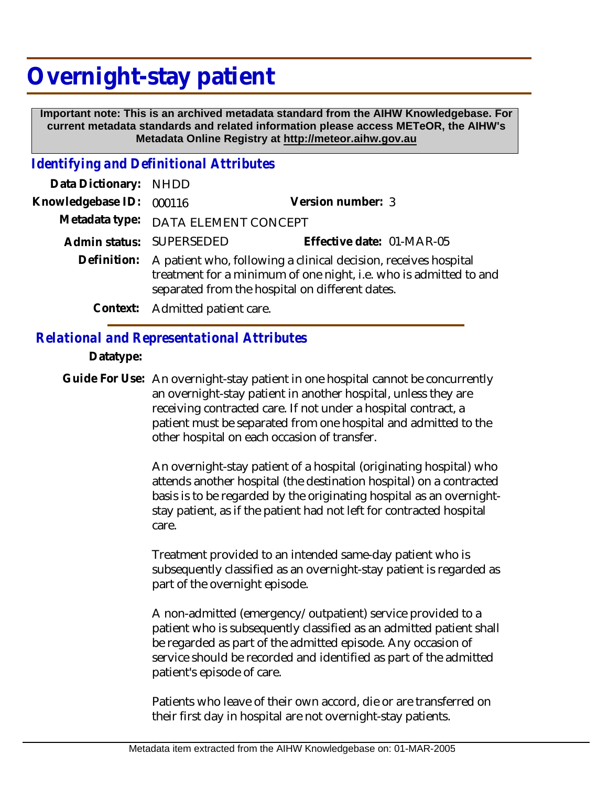# **Overnight-stay patient**

 **Important note: This is an archived metadata standard from the AIHW Knowledgebase. For current metadata standards and related information please access METeOR, the AIHW's Metadata Online Registry at http://meteor.aihw.gov.au**

#### *Identifying and Definitional Attributes*

| Data Dictionary: NHDD |                                                                                                                                                                                                     |                           |
|-----------------------|-----------------------------------------------------------------------------------------------------------------------------------------------------------------------------------------------------|---------------------------|
| Knowledgebase ID:     | 000116                                                                                                                                                                                              | Version number: 3         |
|                       | Metadata type: DATA ELEMENT CONCEPT                                                                                                                                                                 |                           |
|                       | Admin status: SUPERSEDED                                                                                                                                                                            | Effective date: 01-MAR-05 |
|                       | Definition: A patient who, following a clinical decision, receives hospital<br>treatment for a minimum of one night, i.e. who is admitted to and<br>separated from the hospital on different dates. |                           |
|                       | Context: Admitted patient care.                                                                                                                                                                     |                           |

## *Relational and Representational Attributes*

#### **Datatype:**

Guide For Use: An overnight-stay patient in one hospital cannot be concurrently an overnight-stay patient in another hospital, unless they are receiving contracted care. If not under a hospital contract, a patient must be separated from one hospital and admitted to the other hospital on each occasion of transfer.

> An overnight-stay patient of a hospital (originating hospital) who attends another hospital (the destination hospital) on a contracted basis is to be regarded by the originating hospital as an overnightstay patient, as if the patient had not left for contracted hospital care.

> Treatment provided to an intended same-day patient who is subsequently classified as an overnight-stay patient is regarded as part of the overnight episode.

> A non-admitted (emergency/outpatient) service provided to a patient who is subsequently classified as an admitted patient shall be regarded as part of the admitted episode. Any occasion of service should be recorded and identified as part of the admitted patient's episode of care.

Patients who leave of their own accord, die or are transferred on their first day in hospital are not overnight-stay patients.